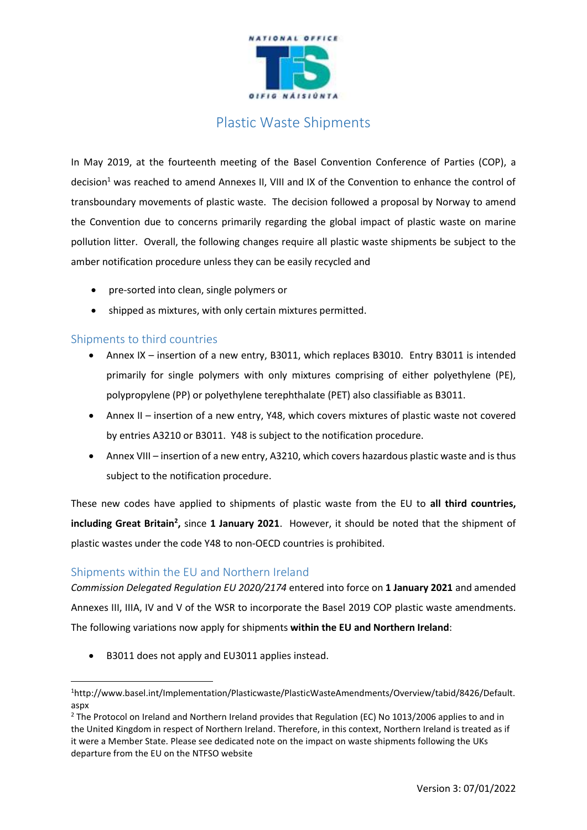

# Plastic Waste Shipments

In May 2019, at the fourteenth meeting of the Basel Convention Conference of Parties (COP), a decision<sup>1</sup> was reached to amend Annexes II, VIII and IX of the Convention to enhance the control of transboundary movements of plastic waste. The decision followed a proposal by Norway to amend the Convention due to concerns primarily regarding the global impact of plastic waste on marine pollution litter. Overall, the following changes require all plastic waste shipments be subject to the amber notification procedure unless they can be easily recycled and

- pre-sorted into clean, single polymers or
- shipped as mixtures, with only certain mixtures permitted.

### Shipments to third countries

**.** 

- Annex IX insertion of a new entry, B3011, which replaces B3010. Entry B3011 is intended primarily for single polymers with only mixtures comprising of either polyethylene (PE), polypropylene (PP) or polyethylene terephthalate (PET) also classifiable as B3011.
- Annex II insertion of a new entry, Y48, which covers mixtures of plastic waste not covered by entries A3210 or B3011. Y48 is subject to the notification procedure.
- Annex VIII insertion of a new entry, A3210, which covers hazardous plastic waste and is thus subject to the notification procedure.

These new codes have applied to shipments of plastic waste from the EU to **all third countries, including Great Britain<sup>2</sup> ,** since **1 January 2021**. However, it should be noted that the shipment of plastic wastes under the code Y48 to non-OECD countries is prohibited.

#### Shipments within the EU and Northern Ireland

*Commission Delegated Regulation EU 2020/2174* entered into force on **1 January 2021** and amended Annexes III, IIIA, IV and V of the WSR to incorporate the Basel 2019 COP plastic waste amendments. The following variations now apply for shipments **within the EU and Northern Ireland**:

B3011 does not apply and EU3011 applies instead.

<sup>1</sup>http://www.basel.int/Implementation/Plasticwaste/PlasticWasteAmendments/Overview/tabid/8426/Default. aspx

<sup>&</sup>lt;sup>2</sup> The Protocol on Ireland and Northern Ireland provides that Regulation (EC) No 1013/2006 applies to and in the United Kingdom in respect of Northern Ireland. Therefore, in this context, Northern Ireland is treated as if it were a Member State. Please see dedicated note on the impact on waste shipments following the UKs departure from the EU on the NTFSO website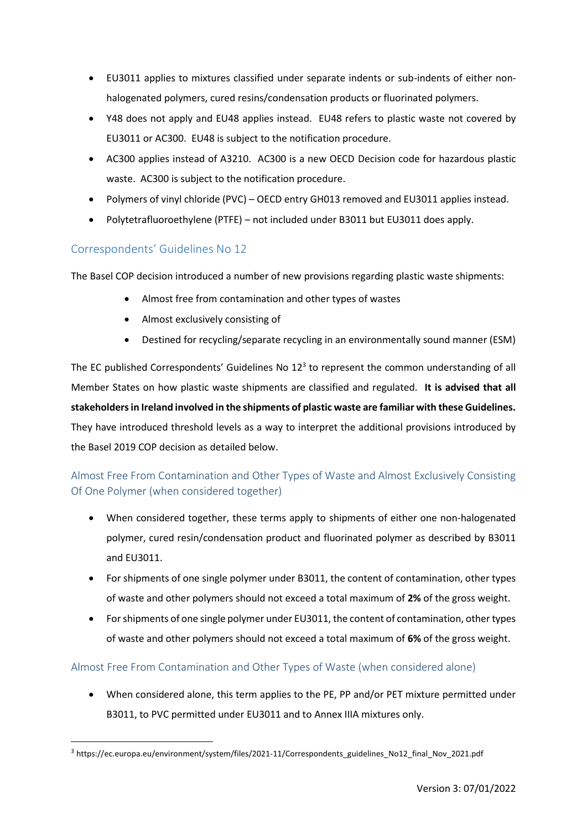- EU3011 applies to mixtures classified under separate indents or sub-indents of either nonhalogenated polymers, cured resins/condensation products or fluorinated polymers.
- Y48 does not apply and EU48 applies instead. EU48 refers to plastic waste not covered by EU3011 or AC300. EU48 is subject to the notification procedure.
- AC300 applies instead of A3210. AC300 is a new OECD Decision code for hazardous plastic waste. AC300 is subject to the notification procedure.
- Polymers of vinyl chloride (PVC) OECD entry GH013 removed and EU3011 applies instead.
- Polytetrafluoroethylene (PTFE) not included under B3011 but EU3011 does apply.

## Correspondents' Guidelines No 12

**.** 

The Basel COP decision introduced a number of new provisions regarding plastic waste shipments:

- Almost free from contamination and other types of wastes
- Almost exclusively consisting of
- Destined for recycling/separate recycling in an environmentally sound manner (ESM)

The EC published Correspondents' Guidelines No  $12<sup>3</sup>$  to represent the common understanding of all Member States on how plastic waste shipments are classified and regulated. **It is advised that all stakeholdersin Ireland involved in the shipments of plastic waste are familiar with these Guidelines.** They have introduced threshold levels as a way to interpret the additional provisions introduced by the Basel 2019 COP decision as detailed below.

# Almost Free From Contamination and Other Types of Waste and Almost Exclusively Consisting Of One Polymer (when considered together)

- When considered together, these terms apply to shipments of either one non-halogenated polymer, cured resin/condensation product and fluorinated polymer as described by B3011 and EU3011.
- For shipments of one single polymer under B3011, the content of contamination, other types of waste and other polymers should not exceed a total maximum of **2%** of the gross weight.
- For shipments of one single polymer under EU3011, the content of contamination, other types of waste and other polymers should not exceed a total maximum of **6%** of the gross weight.

### Almost Free From Contamination and Other Types of Waste (when considered alone)

 When considered alone, this term applies to the PE, PP and/or PET mixture permitted under B3011, to PVC permitted under EU3011 and to Annex IIIA mixtures only.

<sup>3</sup> https://ec.europa.eu/environment/system/files/2021-11/Correspondents\_guidelines\_No12\_final\_Nov\_2021.pdf